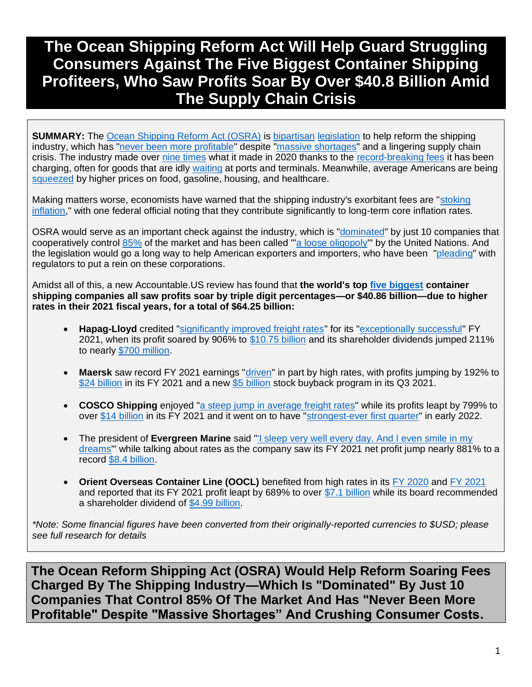# **The Ocean Shipping Reform Act Will Help Guard Struggling Consumers Against The Five Biggest Container Shipping Profiteers, Who Saw Profits Soar By Over \$40.8 Billion Amid The Supply Chain Crisis**

**SUMMARY:** The [Ocean Shipping Reform Act \(OSRA\)](https://www.npr.org/2022/04/01/1090313383/bipartisan-bill-to-address-supply-chain-kinks-moves-closer-to-the-presidents-des) is [bipartisan](https://www.congress.gov/bill/117th-congress/house-bill/4996/cosponsors?r=1&s=1) [legislation](https://www.congress.gov/bill/117th-congress/senate-bill/3580/cosponsors?q=%7B%22search%22%3A%5B%22Ocean+Shipping+Reform+Act+of+2021%22%2C%22Ocean%22%2C%22Shipping%22%2C%22Reform%22%2C%22Act%22%2C%22of%22%2C%222021%22%5D%7D&r=2&s=1) to help reform the shipping industry, which has ["never been more profitable"](https://www.bloomberg.com/news/features/2022-01-18/supply-chain-crisis-helped-shipping-companies-reap-150-billion-in-2021?sref=F7j0rXiB) despite ["massive shortages"](https://www.latimes.com/world-nation/story/2021-11-10/china-global-shipping-supply-chain-crisis) and a lingering supply chain crisis. The industry made over [nine times](https://www.bloomberg.com/news/features/2022-01-18/supply-chain-crisis-helped-shipping-companies-reap-150-billion-in-2021?sref=F7j0rXiB) what it made in 2020 thanks to the [record-breaking fees](https://www.bloomberg.com/news/articles/2021-12-01/maersk-heading-for-record-profits-gives-80-million-to-employees?sref=F7j0rXiB) it has been charging, often for goods that are idly [waiting](https://www.whitehouse.gov/briefing-room/statements-releases/2021/07/09/fact-sheet-executive-order-on-promoting-competition-in-the-american-economy/) at ports and terminals. Meanwhile, average Americans are being [squeezed](https://www.washingtonpost.com/business/2022/01/12/inflation-food-gas-housing-healthcare/) by higher prices on food, gasoline, housing, and healthcare.

Making matters worse, economists have warned that the shipping industry's exorbitant fees are ["stoking](https://www.bloomberg.com/news/features/2022-01-18/supply-chain-crisis-helped-shipping-companies-reap-150-billion-in-2021?sref=F7j0rXiB)  [inflation,](https://www.bloomberg.com/news/features/2022-01-18/supply-chain-crisis-helped-shipping-companies-reap-150-billion-in-2021?sref=F7j0rXiB)" with one federal official noting that they contribute significantly to long-term core inflation rates.

OSRA would serve as an important check against the industry, which is ["dominated"](https://www.latimes.com/world-nation/story/2021-11-10/china-global-shipping-supply-chain-crisis) by just 10 companies that cooperatively control [85%](https://www.bloomberg.com/news/features/2022-01-18/supply-chain-crisis-helped-shipping-companies-reap-150-billion-in-2021?sref=F7j0rXiB) of the market and has been called "a loose oligopoly" by the United Nations. And the legislation would go a long way to help American exporters and importers, who have been ["pleading"](https://www.bloomberg.com/news/features/2022-01-18/supply-chain-crisis-helped-shipping-companies-reap-150-billion-in-2021?sref=F7j0rXiB) with regulators to put a rein on these corporations.

Amidst all of this, a new Accountable.US review has found that **the world's top [five biggest](https://companiesmarketcap.com/container-shipping/largest-companies-by-market-cap/) container shipping companies all saw profits soar by triple digit percentages—or \$40.86 billion—due to higher rates in their 2021 fiscal years, for a total of \$64.25 billion:**

- Hapag-Lloyd credited ["significantly improved freight rates"](https://www.hapag-lloyd.com/en/company/ir/financial-news/financial-news.iry-2022.irid-2211911.html) for its ["exceptionally successful"](https://www.hapag-lloyd.com/en/company/ir/financial-news/financial-news.iry-2022.irid-2211911.html) FY 2021, when its profit soared by 906% to [\\$10.75 billion](https://www.hapag-lloyd.com/en/company/ir/financial-news/financial-news.iry-2022.irid-2211911.html) and its shareholder dividends jumped 211% to nearly [\\$700 million.](https://hlag-2021.corporate-report.net/documents/hlag-gb-21-e_save.pdf)
- **Maersk** saw record FY 2021 earnings ["driven"](https://www.maersk.com/news/articles/2022/02/09/apmm-reports-record-earnings-for-2021-and-guides-for-a-strong-2022) in part by high rates, with profits jumping by 192% to [\\$24 billion](https://www.maersk.com/news/articles/2022/02/09/apmm-reports-record-earnings-for-2021-and-guides-for-a-strong-2022) in its FY 2021 and a new [\\$5 billion](https://investor.maersk.com/news-releases/news-release-details/initiates-first-phase-share-buy-back-program-0) stock buyback program in its Q3 2021.
- **COSCO Shipping** enjoyed ["a steep jump in average freight rates"](https://www.marketwatch.com/story/cosco-shipping-holdings-rises-after-bullish-first-quarter-guidance-271648783240) while its profits leapt by 799% to over [\\$14 billion](https://finance.yahoo.com/news/cosco-shipping-holdings-announces-2021-020000417.html) in its FY 2021 and it went on to have ["strongest-ever first quarter"](https://lloydslist.maritimeintelligence.informa.com/LL1140376/Cosco-expects-record-first-quarter-profits) in early 2022.
- The president of **Evergreen Marine** said ["'I sleep very well every day. And I even smile in my](https://focustaiwan.tw/business/202203160006)  [dreams'](https://focustaiwan.tw/business/202203160006)" while talking about rates as the company saw its FY 2021 net profit jump nearly 881% to a record [\\$8.4 billion.](https://focustaiwan.tw/business/202203160006)
- **Orient Overseas Container Line (OOCL)** benefited from high rates in its [FY 2020](https://www.joc.com/maritime-news/container-lines/oocl-latest-carrier-post-record-2020-profit_20210326.html) an[d FY 2021](https://www.porttechnology.org/news/oocl-reports-bumper-earnings-as-container-rates-soar/) and reported that its FY 2021 profit leapt by 689% to over [\\$7.1 billion](https://www.oocl.com/eng/pressandmedia/pressreleases/2022/Pages/25Mar2022.aspx) while its board recommended a shareholder dividend of [\\$4.99 billion.](https://www.oocl.com/eng/pressandmedia/pressreleases/2022/Pages/25Mar2022.aspx)

*\*Note: Some financial figures have been converted from their originally-reported currencies to \$USD; please see full research for details*

**The Ocean Reform Shipping Act (OSRA) Would Help Reform Soaring Fees Charged By The Shipping Industry—Which Is "Dominated" By Just 10 Companies That Control 85% Of The Market And Has "Never Been More Profitable" Despite "Massive Shortages" And Crushing Consumer Costs.**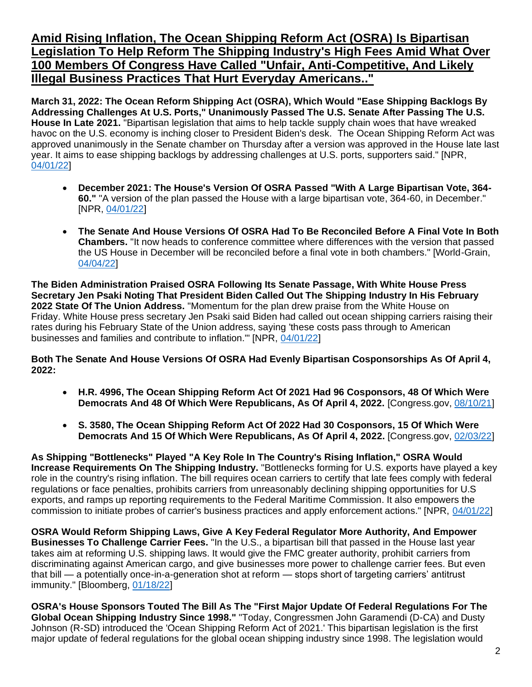**Amid Rising Inflation, The Ocean Shipping Reform Act (OSRA) Is Bipartisan Legislation To Help Reform The Shipping Industry's High Fees Amid What Over 100 Members Of Congress Have Called "Unfair, Anti-Competitive, And Likely Illegal Business Practices That Hurt Everyday Americans.."**

**March 31, 2022: The Ocean Reform Shipping Act (OSRA), Which Would "Ease Shipping Backlogs By Addressing Challenges At U.S. Ports," Unanimously Passed The U.S. Senate After Passing The U.S. House In Late 2021.** "Bipartisan legislation that aims to help tackle supply chain woes that have wreaked havoc on the U.S. economy is inching closer to President Biden's desk. The Ocean Shipping Reform Act was approved unanimously in the Senate chamber on Thursday after a version was approved in the House late last year. It aims to ease shipping backlogs by addressing challenges at U.S. ports, supporters said." [NPR, [04/01/22\]](https://www.npr.org/2022/04/01/1090313383/bipartisan-bill-to-address-supply-chain-kinks-moves-closer-to-the-presidents-des)

- **December 2021: The House's Version Of OSRA Passed "With A Large Bipartisan Vote, 364- 60."** "A version of the plan passed the House with a large bipartisan vote, 364-60, in December." [NPR, [04/01/22\]](https://www.npr.org/2022/04/01/1090313383/bipartisan-bill-to-address-supply-chain-kinks-moves-closer-to-the-presidents-des)
- **The Senate And House Versions Of OSRA Had To Be Reconciled Before A Final Vote In Both Chambers.** "It now heads to conference committee where differences with the version that passed the US House in December will be reconciled before a final vote in both chambers." [World-Grain, [04/04/22\]](https://www.world-grain.com/articles/16719-us-senate-approves-ocean-shipping-reform-act)

**The Biden Administration Praised OSRA Following Its Senate Passage, With White House Press Secretary Jen Psaki Noting That President Biden Called Out The Shipping Industry In His February 2022 State Of The Union Address.** "Momentum for the plan drew praise from the White House on Friday. White House press secretary Jen Psaki said Biden had called out ocean shipping carriers raising their rates during his February State of the Union address, saying 'these costs pass through to American businesses and families and contribute to inflation.'" [NPR, [04/01/22\]](https://www.npr.org/2022/04/01/1090313383/bipartisan-bill-to-address-supply-chain-kinks-moves-closer-to-the-presidents-des)

**Both The Senate And House Versions Of OSRA Had Evenly Bipartisan Cosponsorships As Of April 4, 2022:** 

- **H.R. 4996, The Ocean Shipping Reform Act Of 2021 Had 96 Cosponsors, 48 Of Which Were Democrats And 48 Of Which Were Republicans, As Of April 4, 2022.** [Congress.gov, [08/10/21\]](https://www.congress.gov/bill/117th-congress/house-bill/4996/cosponsors?r=1&s=1)
- **S. 3580, The Ocean Shipping Reform Act Of 2022 Had 30 Cosponsors, 15 Of Which Were Democrats And 15 Of Which Were Republicans, As Of April 4, 2022.** [Congress.gov, [02/03/22\]](https://www.congress.gov/bill/117th-congress/senate-bill/3580/cosponsors?q=%7B%22search%22%3A%5B%22Ocean+Shipping+Reform+Act+of+2021%22%2C%22Ocean%22%2C%22Shipping%22%2C%22Reform%22%2C%22Act%22%2C%22of%22%2C%222021%22%5D%7D&r=2&s=1)

**As Shipping "Bottlenecks" Played "A Key Role In The Country's Rising Inflation," OSRA Would Increase Requirements On The Shipping Industry.** "Bottlenecks forming for U.S. exports have played a key role in the country's rising inflation. The bill requires ocean carriers to certify that late fees comply with federal regulations or face penalties, prohibits carriers from unreasonably declining shipping opportunities for U.S exports, and ramps up reporting requirements to the Federal Maritime Commission. It also empowers the commission to initiate probes of carrier's business practices and apply enforcement actions." [NPR, [04/01/22\]](https://www.npr.org/2022/04/01/1090313383/bipartisan-bill-to-address-supply-chain-kinks-moves-closer-to-the-presidents-des)

**OSRA Would Reform Shipping Laws, Give A Key Federal Regulator More Authority, And Empower Businesses To Challenge Carrier Fees.** "In the U.S., a bipartisan bill that passed in the House last year takes aim at reforming U.S. shipping laws. It would give the FMC greater authority, prohibit carriers from discriminating against American cargo, and give businesses more power to challenge carrier fees. But even that bill — a potentially once-in-a-generation shot at reform — stops short of targeting carriers' antitrust immunity." [Bloomberg, [01/18/22\]](https://www.bloomberg.com/news/features/2022-01-18/supply-chain-crisis-helped-shipping-companies-reap-150-billion-in-2021?sref=F7j0rXiB)

**OSRA's House Sponsors Touted The Bill As The "First Major Update Of Federal Regulations For The Global Ocean Shipping Industry Since 1998."** "Today, Congressmen John Garamendi (D-CA) and Dusty Johnson (R-SD) introduced the 'Ocean Shipping Reform Act of 2021.' This bipartisan legislation is the first major update of federal regulations for the global ocean shipping industry since 1998. The legislation would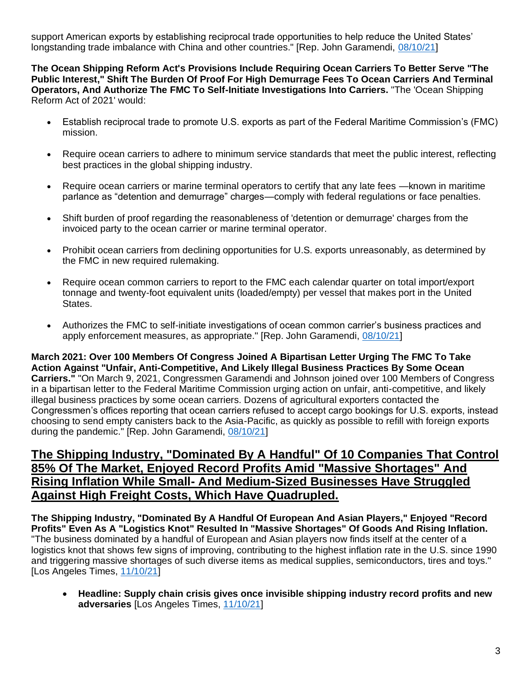support American exports by establishing reciprocal trade opportunities to help reduce the United States' longstanding trade imbalance with China and other countries." [Rep. John Garamendi, [08/10/21\]](https://garamendi.house.gov/media/press-releases/reps-garamendi-johnson-introduce-ocean-shipping-reform-act)

**The Ocean Shipping Reform Act's Provisions Include Requiring Ocean Carriers To Better Serve "The Public Interest," Shift The Burden Of Proof For High Demurrage Fees To Ocean Carriers And Terminal Operators, And Authorize The FMC To Self-Initiate Investigations Into Carriers.** "The 'Ocean Shipping Reform Act of 2021' would:

- Establish reciprocal trade to promote U.S. exports as part of the Federal Maritime Commission's (FMC) mission.
- Require ocean carriers to adhere to minimum service standards that meet the public interest, reflecting best practices in the global shipping industry.
- Require ocean carriers or marine terminal operators to certify that any late fees —known in maritime parlance as "detention and demurrage" charges—comply with federal regulations or face penalties.
- Shift burden of proof regarding the reasonableness of 'detention or demurrage' charges from the invoiced party to the ocean carrier or marine terminal operator.
- Prohibit ocean carriers from declining opportunities for U.S. exports unreasonably, as determined by the FMC in new required rulemaking.
- Require ocean common carriers to report to the FMC each calendar quarter on total import/export tonnage and twenty-foot equivalent units (loaded/empty) per vessel that makes port in the United States.
- Authorizes the FMC to self-initiate investigations of ocean common carrier's business practices and apply enforcement measures, as appropriate." [Rep. John Garamendi, [08/10/21\]](https://garamendi.house.gov/media/press-releases/reps-garamendi-johnson-introduce-ocean-shipping-reform-act)

**March 2021: Over 100 Members Of Congress Joined A Bipartisan Letter Urging The FMC To Take Action Against "Unfair, Anti-Competitive, And Likely Illegal Business Practices By Some Ocean Carriers."** "On March 9, 2021, Congressmen Garamendi and Johnson joined over 100 Members of Congress in a bipartisan letter to the Federal Maritime Commission urging action on unfair, anti-competitive, and likely illegal business practices by some ocean carriers. Dozens of agricultural exporters contacted the Congressmen's offices reporting that ocean carriers refused to accept cargo bookings for U.S. exports, instead choosing to send empty canisters back to the Asia-Pacific, as quickly as possible to refill with foreign exports during the pandemic." [Rep. John Garamendi, [08/10/21\]](https://garamendi.house.gov/media/press-releases/reps-garamendi-johnson-introduce-ocean-shipping-reform-act)

### **The Shipping Industry, "Dominated By A Handful" Of 10 Companies That Control 85% Of The Market, Enjoyed Record Profits Amid "Massive Shortages" And Rising Inflation While Small- And Medium-Sized Businesses Have Struggled Against High Freight Costs, Which Have Quadrupled.**

**The Shipping Industry, "Dominated By A Handful Of European And Asian Players," Enjoyed "Record Profits" Even As A "Logistics Knot" Resulted In "Massive Shortages" Of Goods And Rising Inflation.**  "The business dominated by a handful of European and Asian players now finds itself at the center of a logistics knot that shows few signs of improving, contributing to the highest inflation rate in the U.S. since 1990 and triggering massive shortages of such diverse items as medical supplies, semiconductors, tires and toys." [Los Angeles Times, [11/10/21\]](https://www.latimes.com/world-nation/story/2021-11-10/china-global-shipping-supply-chain-crisis)

• **Headline: Supply chain crisis gives once invisible shipping industry record profits and new adversaries** [Los Angeles Times, [11/10/21\]](https://www.latimes.com/world-nation/story/2021-11-10/china-global-shipping-supply-chain-crisis)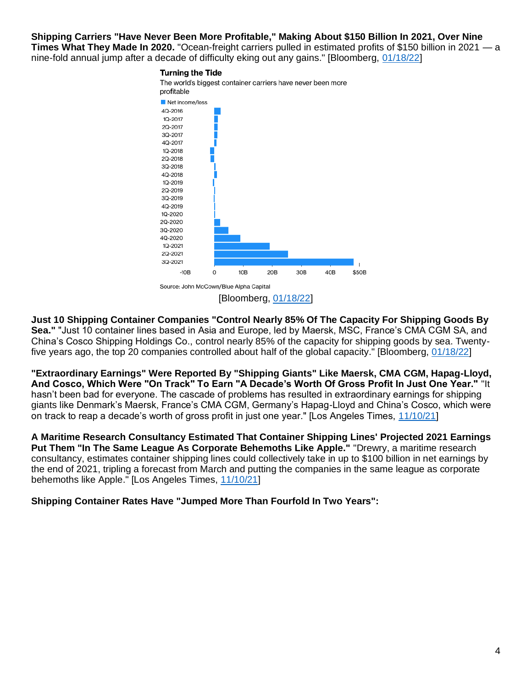**Shipping Carriers "Have Never Been More Profitable," Making About \$150 Billion In 2021, Over Nine Times What They Made In 2020.** "Ocean-freight carriers pulled in estimated profits of \$150 billion in 2021 — a nine-fold annual jump after a decade of difficulty eking out any gains." [Bloomberg, [01/18/22\]](https://www.bloomberg.com/news/features/2022-01-18/supply-chain-crisis-helped-shipping-companies-reap-150-billion-in-2021?sref=F7j0rXiB)

#### **Turning the Tide** The world's biggest container carriers have never been more profitable Net income/loss 4Q-2016 1Q-2017 2Q-2017 3Q-2017 4Q-2017 1Q-2018 2Q-2018 3Q-2018 4Q-2018 1Q-2019 2Q-2019 3Q-2019 4Q-2019 10-2020 2Q-2020 30-2020 4Q-2020 1Q-2021 2Q-2021 3Q-2021 20B 30B \$50B  $-10B$  $\circ$ 10B 40B Source: John McCown/Blue Alpha Capital [Bloomberg, [01/18/22\]](https://www.bloomberg.com/news/features/2022-01-18/supply-chain-crisis-helped-shipping-companies-reap-150-billion-in-2021?sref=F7j0rXiB)

**Just 10 Shipping Container Companies "Control Nearly 85% Of The Capacity For Shipping Goods By Sea."** "Just 10 container lines based in Asia and Europe, led by Maersk, MSC, France's CMA CGM SA, and China's Cosco Shipping Holdings Co., control nearly 85% of the capacity for shipping goods by sea. Twentyfive years ago, the top 20 companies controlled about half of the global capacity." [Bloomberg, [01/18/22\]](https://www.bloomberg.com/news/features/2022-01-18/supply-chain-crisis-helped-shipping-companies-reap-150-billion-in-2021?sref=F7j0rXiB)

**"Extraordinary Earnings" Were Reported By "Shipping Giants" Like Maersk, CMA CGM, Hapag-Lloyd, And Cosco, Which Were "On Track" To Earn "A Decade's Worth Of Gross Profit In Just One Year."** "It hasn't been bad for everyone. The cascade of problems has resulted in extraordinary earnings for shipping giants like Denmark's Maersk, France's CMA CGM, Germany's Hapag-Lloyd and China's Cosco, which were on track to reap a decade's worth of gross profit in just one year." [Los Angeles Times, [11/10/21\]](https://www.latimes.com/world-nation/story/2021-11-10/china-global-shipping-supply-chain-crisis)

**A Maritime Research Consultancy Estimated That Container Shipping Lines' Projected 2021 Earnings Put Them "In The Same League As Corporate Behemoths Like Apple."** "Drewry, a maritime research consultancy, estimates container shipping lines could collectively take in up to \$100 billion in net earnings by the end of 2021, tripling a forecast from March and putting the companies in the same league as corporate behemoths like Apple." [Los Angeles Times, [11/10/21\]](https://www.latimes.com/world-nation/story/2021-11-10/china-global-shipping-supply-chain-crisis)

**Shipping Container Rates Have "Jumped More Than Fourfold In Two Years":**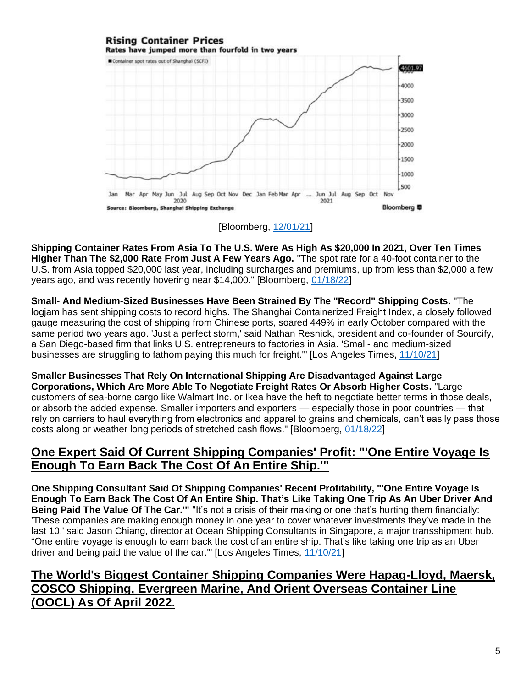#### **Rising Container Prices** Rates have jumped more than fourfold in two years Container spot rates out of Shanghai (SCEI) 4601.97 4000 3500 3000 2500 2000 1500 1000 500 Mar Apr May Jun Jul Aug Sep Oct Nov Dec Jan Feb Mar Apr ... Jun Jul Aug Sep Oct Nov 2020 2021 Bloomberg<sup>1</sup> ce: Bloomberg, Shanghai Shipping Exchange

### [Bloomberg, [12/01/21\]](https://www.bloomberg.com/news/articles/2021-12-01/maersk-heading-for-record-profits-gives-80-million-to-employees?sref=F7j0rXiB)

**Shipping Container Rates From Asia To The U.S. Were As High As \$20,000 In 2021, Over Ten Times Higher Than The \$2,000 Rate From Just A Few Years Ago.** "The spot rate for a 40-foot container to the U.S. from Asia topped \$20,000 last year, including surcharges and premiums, up from less than \$2,000 a few years ago, and was recently hovering near \$14,000." [Bloomberg, [01/18/22\]](https://www.bloomberg.com/news/features/2022-01-18/supply-chain-crisis-helped-shipping-companies-reap-150-billion-in-2021?sref=F7j0rXiB)

**Small- And Medium-Sized Businesses Have Been Strained By The "Record" Shipping Costs.** "The logjam has sent shipping costs to record highs. The Shanghai Containerized Freight Index, a closely followed gauge measuring the cost of shipping from Chinese ports, soared 449% in early October compared with the same period two years ago. 'Just a perfect storm,' said Nathan Resnick, president and co-founder of Sourcify, a San Diego-based firm that links U.S. entrepreneurs to factories in Asia. 'Small- and medium-sized businesses are struggling to fathom paying this much for freight.'" [Los Angeles Times, [11/10/21\]](https://www.latimes.com/world-nation/story/2021-11-10/china-global-shipping-supply-chain-crisis)

**Smaller Businesses That Rely On International Shipping Are Disadvantaged Against Large Corporations, Which Are More Able To Negotiate Freight Rates Or Absorb Higher Costs.** "Large customers of sea-borne cargo like Walmart Inc. or Ikea have the heft to negotiate better terms in those deals, or absorb the added expense. Smaller importers and exporters — especially those in poor countries — that rely on carriers to haul everything from electronics and apparel to grains and chemicals, can't easily pass those costs along or weather long periods of stretched cash flows." [Bloomberg, [01/18/22\]](https://www.bloomberg.com/news/features/2022-01-18/supply-chain-crisis-helped-shipping-companies-reap-150-billion-in-2021?sref=F7j0rXiB)

### **One Expert Said Of Current Shipping Companies' Profit: "'One Entire Voyage Is Enough To Earn Back The Cost Of An Entire Ship.'"**

**One Shipping Consultant Said Of Shipping Companies' Recent Profitability, "'One Entire Voyage Is Enough To Earn Back The Cost Of An Entire Ship. That's Like Taking One Trip As An Uber Driver And Being Paid The Value Of The Car.'"** "It's not a crisis of their making or one that's hurting them financially: 'These companies are making enough money in one year to cover whatever investments they've made in the last 10,' said Jason Chiang, director at Ocean Shipping Consultants in Singapore, a major transshipment hub. "One entire voyage is enough to earn back the cost of an entire ship. That's like taking one trip as an Uber driver and being paid the value of the car.'" [Los Angeles Times, [11/10/21\]](https://www.latimes.com/world-nation/story/2021-11-10/china-global-shipping-supply-chain-crisis)

## **The World's Biggest Container Shipping Companies Were Hapag-Lloyd, Maersk, COSCO Shipping, Evergreen Marine, And Orient Overseas Container Line (OOCL) As Of April 2022.**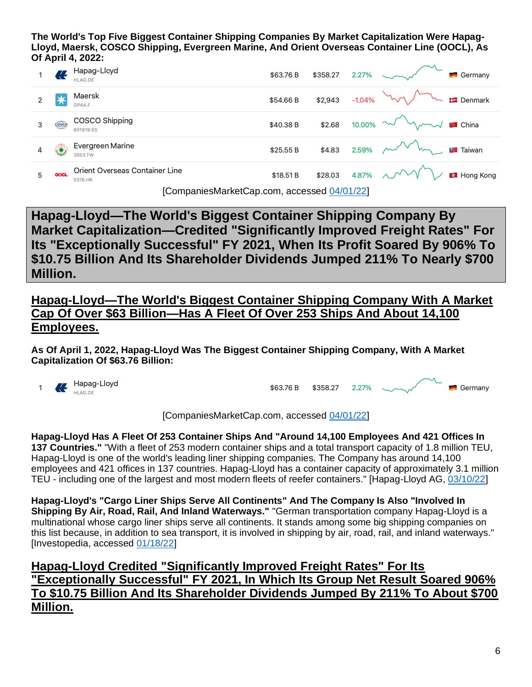**The World's Top Five Biggest Container Shipping Companies By Market Capitalization Were Hapag-Lloyd, Maersk, COSCO Shipping, Evergreen Marine, And Orient Overseas Container Line (OOCL), As Of April 4, 2022:**

|   |             | . <u>.</u>                                 |           |                |                                        |                        |
|---|-------------|--------------------------------------------|-----------|----------------|----------------------------------------|------------------------|
|   |             | Hapag-Lloyd<br>HLAG.DE                     | \$63.76 B | \$358.27 2.27% |                                        | $\blacksquare$ Germany |
|   |             | Maersk<br>DP4A.F                           | \$54.66 B |                | \$2,943 -1.04% $W \sim 1$ Denmark      |                        |
| З | cosco       | COSCO Shipping<br>601919.SS                | \$40.38 B |                | \$2.68 10.00% $\sim$ m                 |                        |
|   | ₩           | Evergreen Marine<br>2603.TW                | \$25.55 B |                | \$4.83 2.59% $\sim\sim\sim\sim$ Taiwan |                        |
| 5 | <b>OOCL</b> | Orient Overseas Container Line<br>0316.HK  | \$18.51 B |                | \$28.03 4.87% $\sim$ V                 | Hong Kong              |
|   |             | $ICompanieMarkat Can com-accened0A/01/221$ |           |                |                                        |                        |

[CompaniesMarketCap.com, accessed [04/01/22\]](https://companiesmarketcap.com/container-shipping/largest-companies-by-market-cap/)

**Hapag-Lloyd—The World's Biggest Container Shipping Company By Market Capitalization—Credited "Significantly Improved Freight Rates" For Its "Exceptionally Successful" FY 2021, When Its Profit Soared By 906% To \$10.75 Billion And Its Shareholder Dividends Jumped 211% To Nearly \$700 Million.**

**Hapag-Lloyd—The World's Biggest Container Shipping Company With A Market Cap Of Over \$63 Billion—Has A Fleet Of Over 253 Ships And About 14,100 Employees.**

**As Of April 1, 2022, Hapag-Lloyd Was The Biggest Container Shipping Company, With A Market Capitalization Of \$63.76 Billion:**



\$63.76 B Germany \$358.27 2.27%

[CompaniesMarketCap.com, accessed [04/01/22\]](https://companiesmarketcap.com/container-shipping/largest-companies-by-market-cap/)

**Hapag-Lloyd Has A Fleet Of 253 Container Ships And "Around 14,100 Employees And 421 Offices In 137 Countries."** "With a fleet of 253 modern container ships and a total transport capacity of 1.8 million TEU, Hapag-Lloyd is one of the world's leading liner shipping companies. The Company has around 14,100 employees and 421 offices in 137 countries. Hapag-Lloyd has a container capacity of approximately 3.1 million TEU - including one of the largest and most modern fleets of reefer containers." [Hapag-Lloyd AG, [03/10/22\]](https://www.hapag-lloyd.com/en/company/ir/financial-news/financial-news.iry-2022.irid-2211911.html)

**Hapag-Lloyd's "Cargo Liner Ships Serve All Continents" And The Company Is Also "Involved In Shipping By Air, Road, Rail, And Inland Waterways."** "German transportation company Hapag-Lloyd is a multinational whose cargo liner ships serve all continents. It stands among some big shipping companies on this list because, in addition to sea transport, it is involved in shipping by air, road, rail, and inland waterways." [Investopedia, accessed [01/18/22\]](https://www.investopedia.com/10-biggest-shipping-companies-5077534#citation-1)

## **Hapag-Lloyd Credited "Significantly Improved Freight Rates" For Its "Exceptionally Successful" FY 2021, In Which Its Group Net Result Soared 906% To \$10.75 Billion And Its Shareholder Dividends Jumped By 211% To About \$700 Million.**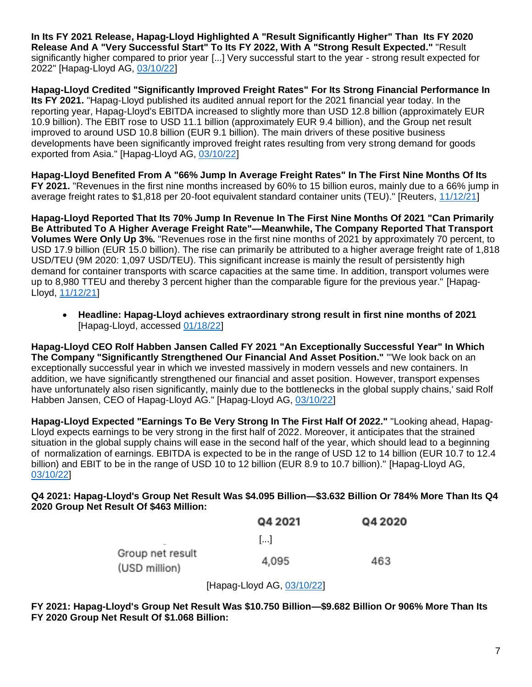**In Its FY 2021 Release, Hapag-Lloyd Highlighted A "Result Significantly Higher" Than Its FY 2020 Release And A "Very Successful Start" To Its FY 2022, With A "Strong Result Expected."** "Result significantly higher compared to prior year [...] Very successful start to the year - strong result expected for 2022" [Hapag-Lloyd AG, [03/10/22\]](https://www.hapag-lloyd.com/en/company/ir/financial-news/financial-news.iry-2022.irid-2211911.html)

**Hapag-Lloyd Credited "Significantly Improved Freight Rates" For Its Strong Financial Performance In Its FY 2021.** "Hapag-Lloyd published its audited annual report for the 2021 financial year today. In the reporting year, Hapag-Lloyd's EBITDA increased to slightly more than USD 12.8 billion (approximately EUR 10.9 billion). The EBIT rose to USD 11.1 billion (approximately EUR 9.4 billion), and the Group net result improved to around USD 10.8 billion (EUR 9.1 billion). The main drivers of these positive business developments have been significantly improved freight rates resulting from very strong demand for goods exported from Asia." [Hapag-Lloyd AG, [03/10/22\]](https://www.hapag-lloyd.com/en/company/ir/financial-news/financial-news.iry-2022.irid-2211911.html)

**Hapag-Lloyd Benefited From A "66% Jump In Average Freight Rates" In The First Nine Months Of Its FY 2021.** "Revenues in the first nine months increased by 60% to 15 billion euros, mainly due to a 66% jump in average freight rates to \$1,818 per 20-foot equivalent standard container units (TEU)." [Reuters, [11/12/21\]](https://www.reuters.com/business/hapag-lloyd-nine-month-net-profit-soars-over-10-fold-record-freight-rates-2021-11-12/)

**Hapag-Lloyd Reported That Its 70% Jump In Revenue In The First Nine Months Of 2021 "Can Primarily Be Attributed To A Higher Average Freight Rate"—Meanwhile, The Company Reported That Transport Volumes Were Only Up 3%.** "Revenues rose in the first nine months of 2021 by approximately 70 percent, to USD 17.9 billion (EUR 15.0 billion). The rise can primarily be attributed to a higher average freight rate of 1,818 USD/TEU (9M 2020: 1,097 USD/TEU). This significant increase is mainly the result of persistently high demand for container transports with scarce capacities at the same time. In addition, transport volumes were up to 8,980 TTEU and thereby 3 percent higher than the comparable figure for the previous year." [Hapag-Lloyd, [11/12/21\]](https://www.hapag-lloyd.com/en/company/press/releases/2021/11/hapag-lloyd-achieves-extraordinary-strong-result-in-first-nine-m.html)

• **Headline: Hapag-Lloyd achieves extraordinary strong result in first nine months of 2021**  [Hapag-Lloyd, accessed [01/18/22\]](https://www.hapag-lloyd.com/en/company/press/releases/2021/11/hapag-lloyd-achieves-extraordinary-strong-result-in-first-nine-m.html)

**Hapag-Lloyd CEO Rolf Habben Jansen Called FY 2021 "An Exceptionally Successful Year" In Which The Company "Significantly Strengthened Our Financial And Asset Position."** "'We look back on an exceptionally successful year in which we invested massively in modern vessels and new containers. In addition, we have significantly strengthened our financial and asset position. However, transport expenses have unfortunately also risen significantly, mainly due to the bottlenecks in the global supply chains,' said Rolf Habben Jansen, CEO of Hapag-Lloyd AG." [Hapag-Lloyd AG, [03/10/22\]](https://www.hapag-lloyd.com/en/company/ir/financial-news/financial-news.iry-2022.irid-2211911.html)

**Hapag-Lloyd Expected "Earnings To Be Very Strong In The First Half Of 2022."** "Looking ahead, Hapag-Lloyd expects earnings to be very strong in the first half of 2022. Moreover, it anticipates that the strained situation in the global supply chains will ease in the second half of the year, which should lead to a beginning of normalization of earnings. EBITDA is expected to be in the range of USD 12 to 14 billion (EUR 10.7 to 12.4 billion) and EBIT to be in the range of USD 10 to 12 billion (EUR 8.9 to 10.7 billion)." [Hapag-Lloyd AG, [03/10/22\]](https://www.hapag-lloyd.com/en/company/ir/financial-news/financial-news.iry-2022.irid-2211911.html)

#### **Q4 2021: Hapag-Lloyd's Group Net Result Was \$4.095 Billion—\$3.632 Billion Or 784% More Than Its Q4 2020 Group Net Result Of \$463 Million:**

|                                   | Q4 2021 | Q4 2020 |
|-----------------------------------|---------|---------|
|                                   | البدا   |         |
| Group net result<br>(USD million) | 4,095   | 463     |

[Hapag-Lloyd AG, [03/10/22\]](https://www.hapag-lloyd.com/en/company/ir/financial-news/financial-news.iry-2022.irid-2211911.html)

**FY 2021: Hapag-Lloyd's Group Net Result Was \$10.750 Billion—\$9.682 Billion Or 906% More Than Its FY 2020 Group Net Result Of \$1.068 Billion:**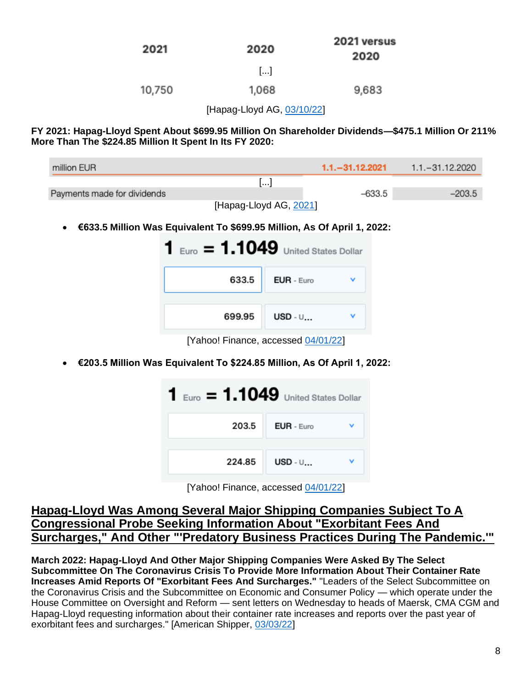| 2021   | 2020                  | 2021 versus<br>2020 |
|--------|-----------------------|---------------------|
|        | $\left[\ldots\right]$ |                     |
| 10,750 | 1,068                 | 9,683               |

[Hapag-Lloyd AG, [03/10/22\]](https://www.hapag-lloyd.com/en/company/ir/financial-news/financial-news.iry-2022.irid-2211911.html)

**FY 2021: Hapag-Lloyd Spent About \$699.95 Million On Shareholder Dividends—\$475.1 Million Or 211% More Than The \$224.85 Million It Spent In Its FY 2020:**

| million EUR                 |                        | $1.1 - 31.12.2021$ | 1.1. - 31.12.2020 |
|-----------------------------|------------------------|--------------------|-------------------|
|                             | $\mathbf{1}$           |                    |                   |
| Payments made for dividends |                        | $-633.5$           | $-203.5$          |
|                             | [Hapag-Lloyd AG, 2021] |                    |                   |

• **€633.5 Million Was Equivalent To \$699.95 Million, As Of April 1, 2022:**

| 1      | $E_{\text{LTO}} = 1.1049$ United States Dollar |
|--------|------------------------------------------------|
| 633.5  | EUR - Euro                                     |
| 699.95 | $USD - U$                                      |
|        |                                                |

[Yahoo! Finance, accessed [04/01/22\]](https://finance.yahoo.com/currency-converter/?guccounter=1&guce_referrer=aHR0cHM6Ly93d3cuZ29vZ2xlLmNvbS8&guce_referrer_sig=AQAAABZqoyxbUJNvfpXEag61BqcMqzNA6Dodlm83M2EIAKLdWCB9Ht-TdjabdoAJhsUV8SKdyQoQBp7gJ86mrxYjcDkFnWeQiW-9GRCTVOQJH70WUl8T89IbeLSlUNop6tS8WBHb96b8GidKWJTdO-sbmYtl9OHa2lR_097uklVILsrO)

• **€203.5 Million Was Equivalent To \$224.85 Million, As Of April 1, 2022:**



| [Yahoo! Finance, accessed 04/01/22] |  |
|-------------------------------------|--|
|-------------------------------------|--|

### **Hapag-Lloyd Was Among Several Major Shipping Companies Subject To A Congressional Probe Seeking Information About "Exorbitant Fees And Surcharges," And Other "'Predatory Business Practices During The Pandemic.'"**

**March 2022: Hapag-Lloyd And Other Major Shipping Companies Were Asked By The Select Subcommittee On The Coronavirus Crisis To Provide More Information About Their Container Rate Increases Amid Reports Of "Exorbitant Fees And Surcharges."** "Leaders of the Select Subcommittee on the Coronavirus Crisis and the Subcommittee on Economic and Consumer Policy — which operate under the House Committee on Oversight and Reform — sent letters on Wednesday to heads of Maersk, CMA CGM and Hapag-Lloyd requesting information about their container rate increases and reports over the past year of exorbitant fees and surcharges." [American Shipper, [03/03/22\]](https://www.freightwaves.com/news/house-panels-open-price-gouging-probe-of-major-ocean-carriers)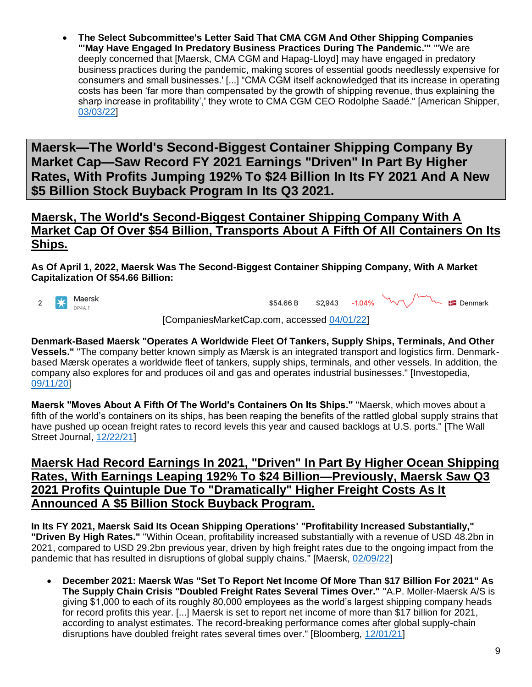• **The Select Subcommittee's Letter Said That CMA CGM And Other Shipping Companies "'May Have Engaged In Predatory Business Practices During The Pandemic.'"** "'We are deeply concerned that [Maersk, CMA CGM and Hapag-Lloyd] may have engaged in predatory business practices during the pandemic, making scores of essential goods needlessly expensive for consumers and small businesses.' [...] "CMA CGM itself acknowledged that its increase in operating costs has been 'far more than compensated by the growth of shipping revenue, thus explaining the sharp increase in profitability',' they wrote to CMA CGM CEO Rodolphe Saadé." [American Shipper, [03/03/22\]](https://www.freightwaves.com/news/house-panels-open-price-gouging-probe-of-major-ocean-carriers)

**Maersk—The World's Second-Biggest Container Shipping Company By Market Cap—Saw Record FY 2021 Earnings "Driven" In Part By Higher Rates, With Profits Jumping 192% To \$24 Billion In Its FY 2021 And A New \$5 Billion Stock Buyback Program In Its Q3 2021.**

### **Maersk, The World's Second-Biggest Container Shipping Company With A Market Cap Of Over \$54 Billion, Transports About A Fifth Of All Containers On Its Ships.**

**As Of April 1, 2022, Maersk Was The Second-Biggest Container Shipping Company, With A Market Capitalization Of \$54.66 Billion:**



\$2.943 \$54.66 B



[CompaniesMarketCap.com, accessed [04/01/22\]](https://companiesmarketcap.com/container-shipping/largest-companies-by-market-cap/)

**Denmark-Based Maersk "Operates A Worldwide Fleet Of Tankers, Supply Ships, Terminals, And Other Vessels."** "The company better known simply as Mærsk is an integrated transport and logistics firm. Denmarkbased Mærsk operates a worldwide fleet of tankers, supply ships, terminals, and other vessels. In addition, the company also explores for and produces oil and gas and operates industrial businesses." [Investopedia, [09/11/20\]](https://www.investopedia.com/10-biggest-shipping-companies-5077534#citation-1)

**Maersk "Moves About A Fifth Of The World's Containers On Its Ships."** "Maersk, which moves about a fifth of the world's containers on its ships, has been reaping the benefits of the rattled global supply strains that have pushed up ocean freight rates to record levels this year and caused backlogs at U.S. ports." [The Wall Street Journal, [12/22/21\]](https://www.wsj.com/articles/maersk-nears-deal-to-buy-lf-logistics-for-about-3-billion-11640141333)

### **Maersk Had Record Earnings In 2021, "Driven" In Part By Higher Ocean Shipping Rates, With Earnings Leaping 192% To \$24 Billion—Previously, Maersk Saw Q3 2021 Profits Quintuple Due To "Dramatically" Higher Freight Costs As It Announced A \$5 Billion Stock Buyback Program.**

**In Its FY 2021, Maersk Said Its Ocean Shipping Operations' "Profitability Increased Substantially," "Driven By High Rates."** "Within Ocean, profitability increased substantially with a revenue of USD 48.2bn in 2021, compared to USD 29.2bn previous year, driven by high freight rates due to the ongoing impact from the pandemic that has resulted in disruptions of global supply chains." [Maersk, [02/09/22\]](https://www.maersk.com/news/articles/2022/02/09/apmm-reports-record-earnings-for-2021-and-guides-for-a-strong-2022)

• **December 2021: Maersk Was "Set To Report Net Income Of More Than \$17 Billion For 2021" As The Supply Chain Crisis "Doubled Freight Rates Several Times Over."** "A.P. Moller-Maersk A/S is giving \$1,000 to each of its roughly 80,000 employees as the world's largest shipping company heads for record profits this year. [...] Maersk is set to report net income of more than \$17 billion for 2021, according to analyst estimates. The record-breaking performance comes after global supply-chain disruptions have doubled freight rates several times over." [Bloomberg, [12/01/21\]](https://www.bloomberg.com/news/articles/2021-12-01/maersk-heading-for-record-profits-gives-80-million-to-employees?sref=F7j0rXiB)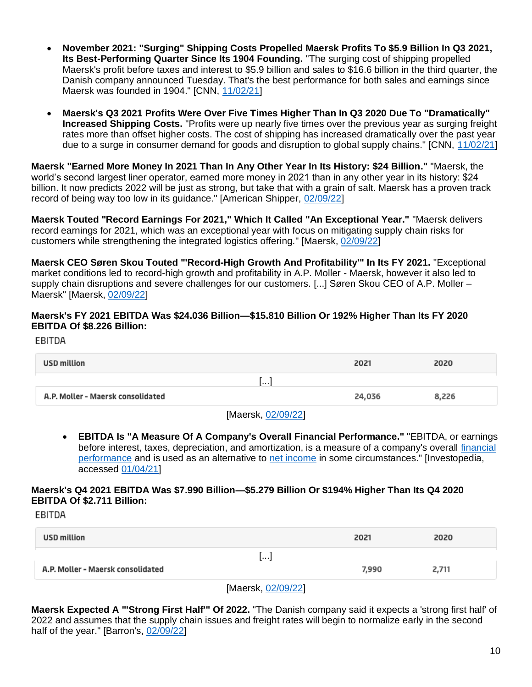- **November 2021: "Surging" Shipping Costs Propelled Maersk Profits To \$5.9 Billion In Q3 2021, Its Best-Performing Quarter Since Its 1904 Founding.** "The surging cost of shipping propelled Maersk's profit before taxes and interest to \$5.9 billion and sales to \$16.6 billion in the third quarter, the Danish company announced Tuesday. That's the best performance for both sales and earnings since Maersk was founded in 1904." [CNN, [11/02/21\]](https://www.cnn.com/2021/11/02/business/maersk-record-profit-supply-chain-chaos/index.html)
- **Maersk's Q3 2021 Profits Were Over Five Times Higher Than In Q3 2020 Due To "Dramatically" Increased Shipping Costs.** "Profits were up nearly five times over the previous year as surging freight rates more than offset higher costs. The cost of shipping has increased dramatically over the past year due to a surge in consumer demand for goods and disruption to global supply chains." [CNN, [11/02/21\]](https://www.cnn.com/2021/11/02/business/maersk-record-profit-supply-chain-chaos/index.html)

**Maersk "Earned More Money In 2021 Than In Any Other Year In Its History: \$24 Billion."** "Maersk, the world's second largest liner operator, earned more money in 2021 than in any other year in its history: \$24 billion. It now predicts 2022 will be just as strong, but take that with a grain of salt. Maersk has a proven track record of being way too low in its guidance." [American Shipper, [02/09/22\]](https://www.freightwaves.com/news/shipping-giant-maersk-could-rake-in-50-billion-in-just-two-years)

**Maersk Touted "Record Earnings For 2021," Which It Called "An Exceptional Year."** "Maersk delivers record earnings for 2021, which was an exceptional year with focus on mitigating supply chain risks for customers while strengthening the integrated logistics offering." [Maersk, [02/09/22\]](https://www.maersk.com/news/articles/2022/02/09/apmm-reports-record-earnings-for-2021-and-guides-for-a-strong-2022)

**Maersk CEO Søren Skou Touted "'Record-High Growth And Profitability'" In Its FY 2021.** "Exceptional market conditions led to record-high growth and profitability in A.P. Moller - Maersk, however it also led to supply chain disruptions and severe challenges for our customers. [...] Søren Skou CEO of A.P. Moller – Maersk" [Maersk, [02/09/22\]](https://www.maersk.com/news/articles/2022/02/09/apmm-reports-record-earnings-for-2021-and-guides-for-a-strong-2022)

### **Maersk's FY 2021 EBITDA Was \$24.036 Billion—\$15.810 Billion Or 192% Higher Than Its FY 2020 EBITDA Of \$8.226 Billion:**

EBITDA

| USD million                       | 2021   | 2020  |
|-----------------------------------|--------|-------|
| l I                               |        |       |
| A.P. Moller - Maersk consolidated | 24,036 | 8,226 |
|                                   |        |       |

- [Maersk, [02/09/22\]](https://www.maersk.com/news/articles/2022/02/09/apmm-reports-record-earnings-for-2021-and-guides-for-a-strong-2022)
- **EBITDA Is "A Measure Of A Company's Overall Financial Performance."** "EBITDA, or earnings before interest, taxes, depreciation, and amortization, is a measure of a company's overall [financial](https://www.investopedia.com/terms/f/financialperformance.asp)  [performance](https://www.investopedia.com/terms/f/financialperformance.asp) and is used as an alternative to [net income](https://www.investopedia.com/terms/n/netincome.asp) in some circumstances." [Investopedia, accessed [01/04/21\]](https://www.investopedia.com/terms/e/ebitda.asp)

#### **Maersk's Q4 2021 EBITDA Was \$7.990 Billion—\$5.279 Billion Or \$194% Higher Than Its Q4 2020 EBITDA Of \$2.711 Billion:**

EBITDA

| USD million                       |                       | 2021  | 2020  |
|-----------------------------------|-----------------------|-------|-------|
|                                   | $\left[\ldots\right]$ |       |       |
| A.P. Moller - Maersk consolidated |                       | 7,990 | 2,711 |
|                                   |                       |       |       |

[Maersk, [02/09/22\]](https://www.maersk.com/news/articles/2022/02/09/apmm-reports-record-earnings-for-2021-and-guides-for-a-strong-2022)

**Maersk Expected A "'Strong First Half'" Of 2022.** "The Danish company said it expects a 'strong first half' of 2022 and assumes that the supply chain issues and freight rates will begin to normalize early in the second half of the year." [Barron's, [02/09/22\]](https://www.barrons.com/articles/maersk-stock-price-earnings-supply-chain-51644411716?tesla=y)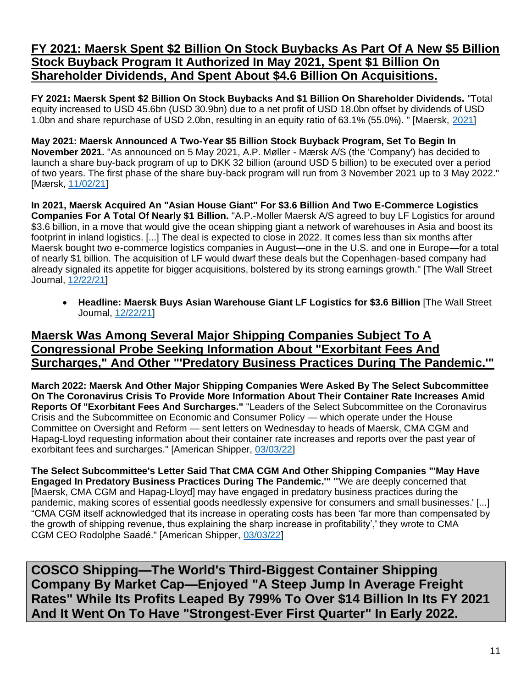### **FY 2021: Maersk Spent \$2 Billion On Stock Buybacks As Part Of A New \$5 Billion Stock Buyback Program It Authorized In May 2021, Spent \$1 Billion On Shareholder Dividends, And Spent About \$4.6 Billion On Acquisitions.**

**FY 2021: Maersk Spent \$2 Billion On Stock Buybacks And \$1 Billion On Shareholder Dividends.** "Total equity increased to USD 45.6bn (USD 30.9bn) due to a net profit of USD 18.0bn offset by dividends of USD 1.0bn and share repurchase of USD 2.0bn, resulting in an equity ratio of 63.1% (55.0%). " [Maersk, [2021\]](https://investor.maersk.com/static-files/b4df47ef-3977-412b-8e3c-bc2f02bb4a5f)

**May 2021: Maersk Announced A Two-Year \$5 Billion Stock Buyback Program, Set To Begin In November 2021.** "As announced on 5 May 2021, A.P. Møller - Mærsk A/S (the 'Company') has decided to launch a share buy-back program of up to DKK 32 billion (around USD 5 billion) to be executed over a period of two years. The first phase of the share buy-back program will run from 3 November 2021 up to 3 May 2022." [Mærsk, [11/02/21\]](https://investor.maersk.com/news-releases/news-release-details/initiates-first-phase-share-buy-back-program-0)

**In 2021, Maersk Acquired An "Asian House Giant" For \$3.6 Billion And Two E-Commerce Logistics Companies For A Total Of Nearly \$1 Billion.** "A.P.-Moller Maersk A/S agreed to buy LF Logistics for around \$3.6 billion, in a move that would give the ocean shipping giant a network of warehouses in Asia and boost its footprint in inland logistics. [...] The deal is expected to close in 2022. It comes less than six months after Maersk bought two e-commerce logistics companies in August—one in the U.S. and one in Europe—for a total of nearly \$1 billion. The acquisition of LF would dwarf these deals but the Copenhagen-based company had already signaled its appetite for bigger acquisitions, bolstered by its strong earnings growth." [The Wall Street Journal, [12/22/21\]](https://www.wsj.com/articles/maersk-nears-deal-to-buy-lf-logistics-for-about-3-billion-11640141333)

• **Headline: Maersk Buys Asian Warehouse Giant LF Logistics for \$3.6 Billion** [The Wall Street Journal, [12/22/21\]](https://www.wsj.com/articles/maersk-nears-deal-to-buy-lf-logistics-for-about-3-billion-11640141333)

### **Maersk Was Among Several Major Shipping Companies Subject To A Congressional Probe Seeking Information About "Exorbitant Fees And Surcharges," And Other "'Predatory Business Practices During The Pandemic.'"**

**March 2022: Maersk And Other Major Shipping Companies Were Asked By The Select Subcommittee On The Coronavirus Crisis To Provide More Information About Their Container Rate Increases Amid Reports Of "Exorbitant Fees And Surcharges."** "Leaders of the Select Subcommittee on the Coronavirus Crisis and the Subcommittee on Economic and Consumer Policy — which operate under the House Committee on Oversight and Reform — sent letters on Wednesday to heads of Maersk, CMA CGM and Hapag-Lloyd requesting information about their container rate increases and reports over the past year of exorbitant fees and surcharges." [American Shipper, [03/03/22\]](https://www.freightwaves.com/news/house-panels-open-price-gouging-probe-of-major-ocean-carriers)

**The Select Subcommittee's Letter Said That CMA CGM And Other Shipping Companies "'May Have Engaged In Predatory Business Practices During The Pandemic.'"** "'We are deeply concerned that [Maersk, CMA CGM and Hapag-Lloyd] may have engaged in predatory business practices during the pandemic, making scores of essential goods needlessly expensive for consumers and small businesses.' [...] "CMA CGM itself acknowledged that its increase in operating costs has been 'far more than compensated by the growth of shipping revenue, thus explaining the sharp increase in profitability',' they wrote to CMA CGM CEO Rodolphe Saadé." [American Shipper, [03/03/22\]](https://www.freightwaves.com/news/house-panels-open-price-gouging-probe-of-major-ocean-carriers)

**COSCO Shipping—The World's Third-Biggest Container Shipping Company By Market Cap—Enjoyed "A Steep Jump In Average Freight Rates" While Its Profits Leaped By 799% To Over \$14 Billion In Its FY 2021 And It Went On To Have "Strongest-Ever First Quarter" In Early 2022.**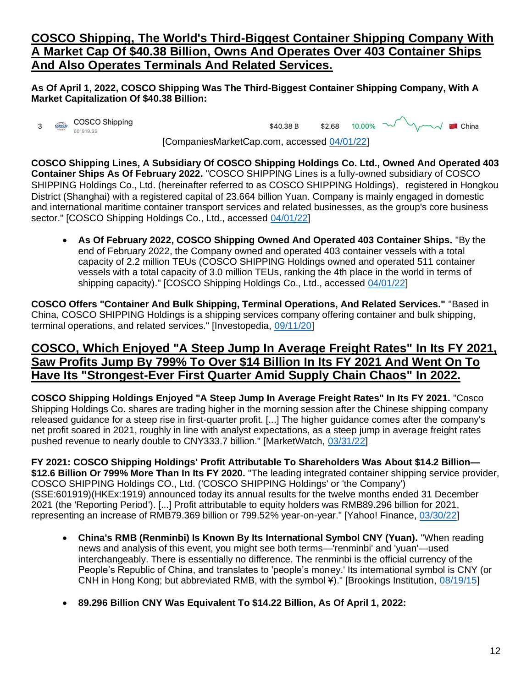### **COSCO Shipping, The World's Third-Biggest Container Shipping Company With A Market Cap Of \$40.38 Billion, Owns And Operates Over 403 Container Ships And Also Operates Terminals And Related Services.**

**As Of April 1, 2022, COSCO Shipping Was The Third-Biggest Container Shipping Company, With A Market Capitalization Of \$40.38 Billion:**



 $10.00\%$  method in China \$2.68 \$40.38 B

[CompaniesMarketCap.com, accessed [04/01/22\]](https://companiesmarketcap.com/container-shipping/largest-companies-by-market-cap/)

**COSCO Shipping Lines, A Subsidiary Of COSCO Shipping Holdings Co. Ltd., Owned And Operated 403 Container Ships As Of February 2022.** "COSCO SHIPPING Lines is a fully-owned subsidiary of COSCO SHIPPING Holdings Co., Ltd. (hereinafter referred to as COSCO SHIPPING Holdings), registered in Hongkou District (Shanghai) with a registered capital of 23.664 billion Yuan. Company is mainly engaged in domestic and international maritime container transport services and related businesses, as the group's core business sector." [COSCO Shipping Holdings Co., Ltd., accessed [04/01/22\]](https://lines.coscoshipping.com/home/About/about/Profile)

• **As Of February 2022, COSCO Shipping Owned And Operated 403 Container Ships.** "By the end of February 2022, the Company owned and operated 403 container vessels with a total capacity of 2.2 million TEUs (COSCO SHIPPING Holdings owned and operated 511 container vessels with a total capacity of 3.0 million TEUs, ranking the 4th place in the world in terms of shipping capacity)." [COSCO Shipping Holdings Co., Ltd., accessed [04/01/22\]](https://lines.coscoshipping.com/home/About/about/Profile)

**COSCO Offers "Container And Bulk Shipping, Terminal Operations, And Related Services."** "Based in China, COSCO SHIPPING Holdings is a shipping services company offering container and bulk shipping, terminal operations, and related services." [Investopedia, [09/11/20\]](https://www.investopedia.com/10-biggest-shipping-companies-5077534#citation-1)

### **COSCO, Which Enjoyed "A Steep Jump In Average Freight Rates" In Its FY 2021, Saw Profits Jump By 799% To Over \$14 Billion In Its FY 2021 And Went On To Have Its "Strongest-Ever First Quarter Amid Supply Chain Chaos" In 2022.**

**COSCO Shipping Holdings Enjoyed "A Steep Jump In Average Freight Rates" In Its FY 2021.** "Cosco Shipping Holdings Co. shares are trading higher in the morning session after the Chinese shipping company released guidance for a steep rise in first-quarter profit. [...] The higher guidance comes after the company's net profit soared in 2021, roughly in line with analyst expectations, as a steep jump in average freight rates pushed revenue to nearly double to CNY333.7 billion." [MarketWatch, [03/31/22\]](https://www.marketwatch.com/story/cosco-shipping-holdings-rises-after-bullish-first-quarter-guidance-271648783240)

**FY 2021: COSCO Shipping Holdings' Profit Attributable To Shareholders Was About \$14.2 Billion— \$12.6 Billion Or 799% More Than In Its FY 2020.** "The leading integrated container shipping service provider, COSCO SHIPPING Holdings CO., Ltd. ('COSCO SHIPPING Holdings' or 'the Company') (SSE:601919)(HKEx:1919) announced today its annual results for the twelve months ended 31 December 2021 (the 'Reporting Period'). [...] Profit attributable to equity holders was RMB89.296 billion for 2021, representing an increase of RMB79.369 billion or 799.52% year-on-year." [Yahoo! Finance, [03/30/22\]](https://finance.yahoo.com/news/cosco-shipping-holdings-announces-2021-020000417.html)

- **China's RMB (Renminbi) Is Known By Its International Symbol CNY (Yuan).** "When reading news and analysis of this event, you might see both terms—'renminbi' and 'yuan'—used interchangeably. There is essentially no difference. The renminbi is the official currency of the People's Republic of China, and translates to 'people's money.' Its international symbol is CNY (or CNH in Hong Kong; but abbreviated RMB, with the symbol ¥)." [Brookings Institution, [08/19/15\]](https://www.brookings.edu/blog/brookings-now/2015/08/19/whats-the-difference-between-the-renminbi-and-the-yuan-the-answer-to-this-and-other-questions-in-renminbi-internationalization/)
- **89.296 Billion CNY Was Equivalent To \$14.22 Billion, As Of April 1, 2022:**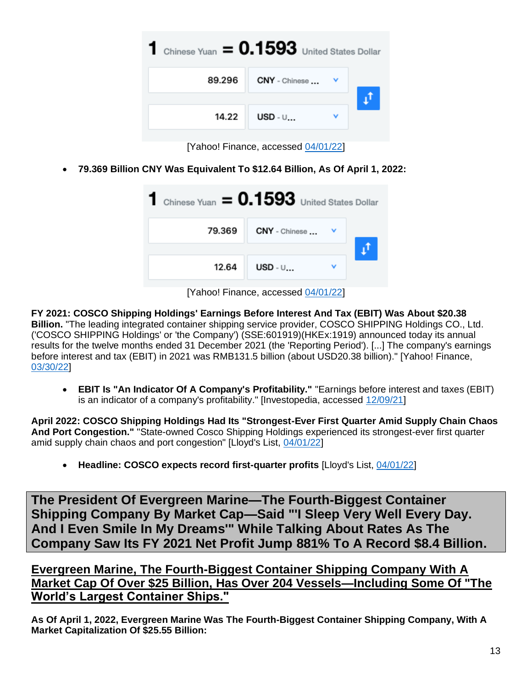

[Yahoo! Finance, accessed [04/01/22\]](https://finance.yahoo.com/currency-converter/)

• **79.369 Billion CNY Was Equivalent To \$12.64 Billion, As Of April 1, 2022:**

| Chinese Yuan $= 0.1593$ United States Dollar |               |  |
|----------------------------------------------|---------------|--|
| 79.369                                       | CNY - Chinese |  |
| 12.64                                        | USD - $\cup $ |  |

[Yahoo! Finance, accessed [04/01/22\]](https://finance.yahoo.com/currency-converter/)

**FY 2021: COSCO Shipping Holdings' Earnings Before Interest And Tax (EBIT) Was About \$20.38 Billion.** "The leading integrated container shipping service provider, COSCO SHIPPING Holdings CO., Ltd. ('COSCO SHIPPING Holdings' or 'the Company') (SSE:601919)(HKEx:1919) announced today its annual results for the twelve months ended 31 December 2021 (the 'Reporting Period'). [...] The company's earnings before interest and tax (EBIT) in 2021 was RMB131.5 billion (about USD20.38 billion)." [Yahoo! Finance, [03/30/22\]](https://finance.yahoo.com/news/cosco-shipping-holdings-announces-2021-020000417.html)

• **EBIT Is "An Indicator Of A Company's Profitability."** "Earnings before interest and taxes (EBIT) is an indicator of a company's profitability." [Investopedia, accessed [12/09/21\]](https://www.investopedia.com/terms/e/ebit.asp)

**April 2022: COSCO Shipping Holdings Had Its "Strongest-Ever First Quarter Amid Supply Chain Chaos And Port Congestion."** "State-owned Cosco Shipping Holdings experienced its strongest-ever first quarter amid supply chain chaos and port congestion" [Lloyd's List, [04/01/22\]](https://lloydslist.maritimeintelligence.informa.com/LL1140376/Cosco-expects-record-first-quarter-profits)

• **Headline: COSCO expects record first-quarter profits** [Lloyd's List, [04/01/22\]](https://lloydslist.maritimeintelligence.informa.com/LL1140376/Cosco-expects-record-first-quarter-profits)

**The President Of Evergreen Marine—The Fourth-Biggest Container Shipping Company By Market Cap—Said "'I Sleep Very Well Every Day. And I Even Smile In My Dreams'" While Talking About Rates As The Company Saw Its FY 2021 Net Profit Jump 881% To A Record \$8.4 Billion.**

**Evergreen Marine, The Fourth-Biggest Container Shipping Company With A Market Cap Of Over \$25 Billion, Has Over 204 Vessels—Including Some Of "The World's Largest Container Ships."**

**As Of April 1, 2022, Evergreen Marine Was The Fourth-Biggest Container Shipping Company, With A Market Capitalization Of \$25.55 Billion:**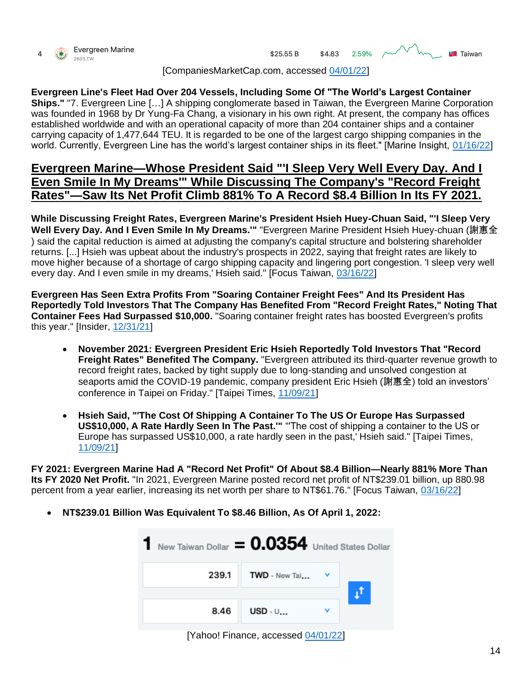



[CompaniesMarketCap.com, accessed [04/01/22\]](https://companiesmarketcap.com/container-shipping/largest-companies-by-market-cap/)

**Evergreen Line's Fleet Had Over 204 Vessels, Including Some Of "The World's Largest Container Ships."** "7. Evergreen Line […] A shipping conglomerate based in Taiwan, the Evergreen Marine Corporation was founded in 1968 by Dr Yung-Fa Chang, a visionary in his own right. At present, the company has offices established worldwide and with an operational capacity of more than 204 container ships and a container carrying capacity of 1,477,644 TEU. It is regarded to be one of the largest cargo shipping companies in the world. Currently, Evergreen Line has the world's largest container ships in its fleet." [Marine Insight, [01/16/22\]](https://www.marineinsight.com/know-more/10-largest-container-shipping-companies-in-the-world/)

### **Evergreen Marine—Whose President Said "'I Sleep Very Well Every Day. And I Even Smile In My Dreams'" While Discussing The Company's "Record Freight Rates"—Saw Its Net Profit Climb 881% To A Record \$8.4 Billion In Its FY 2021.**

**While Discussing Freight Rates, Evergreen Marine's President Hsieh Huey-Chuan Said, "'I Sleep Very**  Well Every Day. And I Even Smile In My Dreams." "Evergreen Marine President Hsieh Huey-chuan (謝惠全 ) said the capital reduction is aimed at adjusting the company's capital structure and bolstering shareholder returns. [...] Hsieh was upbeat about the industry's prospects in 2022, saying that freight rates are likely to move higher because of a shortage of cargo shipping capacity and lingering port congestion. 'I sleep very well every day. And I even smile in my dreams,' Hsieh said." [Focus Taiwan, [03/16/22\]](https://focustaiwan.tw/business/202203160006)

**Evergreen Has Seen Extra Profits From "Soaring Container Freight Fees" And Its President Has Reportedly Told Investors That The Company Has Benefited From "Record Freight Rates," Noting That Container Fees Had Surpassed \$10,000.** "Soaring container freight rates has boosted Evergreen's profits this year." [Insider, [12/31/21\]](https://www.businessinsider.com/evergreen-employees-bumper-bonuses-evergiven-suez-troubles-2021-12)

- **November 2021: Evergreen President Eric Hsieh Reportedly Told Investors That "Record Freight Rates" Benefited The Company.** "Evergreen attributed its third-quarter revenue growth to record freight rates, backed by tight supply due to long-standing and unsolved congestion at seaports amid the COVID-19 pandemic, company president Eric Hsieh (謝惠全) told an investors' conference in Taipei on Friday." [Taipei Times, [11/09/21\]](https://taipeitimes.com/News/biz/archives/2021/11/09/2003767548)
- **Hsieh Said, "'The Cost Of Shipping A Container To The US Or Europe Has Surpassed US\$10,000, A Rate Hardly Seen In The Past.'"** "'The cost of shipping a container to the US or Europe has surpassed US\$10,000, a rate hardly seen in the past,' Hsieh said." [Taipei Times, [11/09/21\]](https://taipeitimes.com/News/biz/archives/2021/11/09/2003767548)

**FY 2021: Evergreen Marine Had A "Record Net Profit" Of About \$8.4 Billion—Nearly 881% More Than Its FY 2020 Net Profit.** "In 2021, Evergreen Marine posted record net profit of NT\$239.01 billion, up 880.98 percent from a year earlier, increasing its net worth per share to NT\$61.76." [Focus Taiwan, [03/16/22\]](https://focustaiwan.tw/business/202203160006)

• **NT\$239.01 Billion Was Equivalent To \$8.46 Billion, As Of April 1, 2022:**



[Yahoo! Finance, accessed [04/01/22\]](https://finance.yahoo.com/currency-converter/)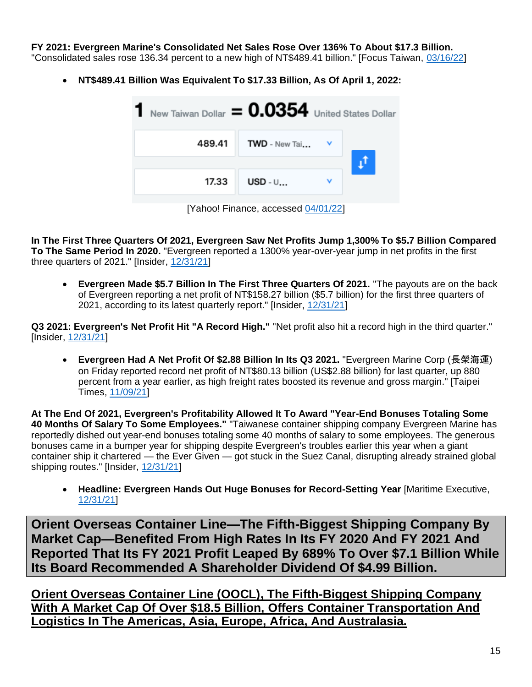**FY 2021: Evergreen Marine's Consolidated Net Sales Rose Over 136% To About \$17.3 Billion.** 

- "Consolidated sales rose 136.34 percent to a new high of NT\$489.41 billion." [Focus Taiwan, [03/16/22\]](https://focustaiwan.tw/business/202203160006)
	- **NT\$489.41 Billion Was Equivalent To \$17.33 Billion, As Of April 1, 2022:**



[Yahoo! Finance, accessed [04/01/22\]](https://finance.yahoo.com/currency-converter/)

**In The First Three Quarters Of 2021, Evergreen Saw Net Profits Jump 1,300% To \$5.7 Billion Compared To The Same Period In 2020.** "Evergreen reported a 1300% year-over-year jump in net profits in the first three quarters of 2021." [Insider, [12/31/21\]](https://www.businessinsider.com/evergreen-employees-bumper-bonuses-evergiven-suez-troubles-2021-12)

• **Evergreen Made \$5.7 Billion In The First Three Quarters Of 2021.** "The payouts are on the back of Evergreen reporting a net profit of NT\$158.27 billion (\$5.7 billion) for the first three quarters of 2021, according to its latest quarterly report." [Insider, [12/31/21\]](https://www.businessinsider.com/evergreen-employees-bumper-bonuses-evergiven-suez-troubles-2021-12)

**Q3 2021: Evergreen's Net Profit Hit "A Record High."** "Net profit also hit a record high in the third quarter." [Insider, [12/31/21\]](https://www.businessinsider.com/evergreen-employees-bumper-bonuses-evergiven-suez-troubles-2021-12)

• **Evergreen Had A Net Profit Of \$2.88 Billion In Its Q3 2021.** "Evergreen Marine Corp (長榮海運) on Friday reported record net profit of NT\$80.13 billion (US\$2.88 billion) for last quarter, up 880 percent from a year earlier, as high freight rates boosted its revenue and gross margin." [Taipei Times, [11/09/21\]](https://taipeitimes.com/News/biz/archives/2021/11/09/2003767548)

**At The End Of 2021, Evergreen's Profitability Allowed It To Award "Year-End Bonuses Totaling Some 40 Months Of Salary To Some Employees."** "Taiwanese container shipping company Evergreen Marine has reportedly dished out year-end bonuses totaling some 40 months of salary to some employees. The generous bonuses came in a bumper year for shipping despite Evergreen's troubles earlier this year when a giant container ship it chartered — the Ever Given — got stuck in the Suez Canal, disrupting already strained global shipping routes." [Insider, [12/31/21\]](https://www.businessinsider.com/evergreen-employees-bumper-bonuses-evergiven-suez-troubles-2021-12)

• **Headline: Evergreen Hands Out Huge Bonuses for Record-Setting Year** [Maritime Executive, [12/31/21\]](https://www.maritime-executive.com/article/evergreen-hands-out-huge-bonuses-for-record-setting-year)

**Orient Overseas Container Line—The Fifth-Biggest Shipping Company By Market Cap—Benefited From High Rates In Its FY 2020 And FY 2021 And Reported That Its FY 2021 Profit Leaped By 689% To Over \$7.1 Billion While Its Board Recommended A Shareholder Dividend Of \$4.99 Billion.**

**Orient Overseas Container Line (OOCL), The Fifth-Biggest Shipping Company With A Market Cap Of Over \$18.5 Billion, Offers Container Transportation And Logistics In The Americas, Asia, Europe, Africa, And Australasia.**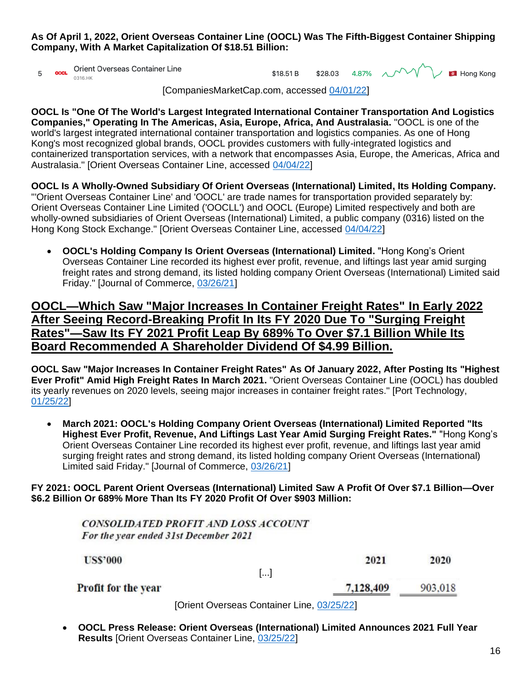**As Of April 1, 2022, Orient Overseas Container Line (OOCL) Was The Fifth-Biggest Container Shipping Company, With A Market Capitalization Of \$18.51 Billion:**

ood. Orient Overseas Container Line 5 0316 HK

\$28.03 4.87%  $\sim$  V \$18.51 B



[CompaniesMarketCap.com, accessed [04/01/22\]](https://companiesmarketcap.com/container-shipping/largest-companies-by-market-cap/)

**OOCL Is "One Of The World's Largest Integrated International Container Transportation And Logistics Companies," Operating In The Americas, Asia, Europe, Africa, And Australasia.** "OOCL is one of the world's largest integrated international container transportation and logistics companies. As one of Hong Kong's most recognized global brands, OOCL provides customers with fully-integrated logistics and containerized transportation services, with a network that encompasses Asia, Europe, the Americas, Africa and Australasia." [Orient Overseas Container Line, accessed [04/04/22\]](https://www.oocl.com/eng/aboutoocl/companyprofile/oocltoday/Pages/default.aspx)

**OOCL Is A Wholly-Owned Subsidiary Of Orient Overseas (International) Limited, Its Holding Company.** "'Orient Overseas Container Line' and 'OOCL' are trade names for transportation provided separately by: Orient Overseas Container Line Limited ('OOCLL') and OOCL (Europe) Limited respectively and both are wholly-owned subsidiaries of Orient Overseas (International) Limited, a public company (0316) listed on the Hong Kong Stock Exchange." [Orient Overseas Container Line, accessed [04/04/22\]](https://www.oocl.com/eng/aboutoocl/companyprofile/oocltoday/Pages/default.aspx)

• **OOCL's Holding Company Is Orient Overseas (International) Limited.** "Hong Kong's Orient Overseas Container Line recorded its highest ever profit, revenue, and liftings last year amid surging freight rates and strong demand, its listed holding company Orient Overseas (International) Limited said Friday." [Journal of Commerce, [03/26/21\]](https://www.joc.com/maritime-news/container-lines/oocl-latest-carrier-post-record-2020-profit_20210326.html)

### **OOCL—Which Saw "Major Increases In Container Freight Rates" In Early 2022 After Seeing Record-Breaking Profit In Its FY 2020 Due To "Surging Freight Rates"—Saw Its FY 2021 Profit Leap By 689% To Over \$7.1 Billion While Its Board Recommended A Shareholder Dividend Of \$4.99 Billion.**

**OOCL Saw "Major Increases In Container Freight Rates" As Of January 2022, After Posting Its "Highest Ever Profit" Amid High Freight Rates In March 2021.** "Orient Overseas Container Line (OOCL) has doubled its yearly revenues on 2020 levels, seeing major increases in container freight rates." [Port Technology, [01/25/22\]](https://www.porttechnology.org/news/oocl-reports-bumper-earnings-as-container-rates-soar/)

• **March 2021: OOCL's Holding Company Orient Overseas (International) Limited Reported "Its Highest Ever Profit, Revenue, And Liftings Last Year Amid Surging Freight Rates."** "Hong Kong's Orient Overseas Container Line recorded its highest ever profit, revenue, and liftings last year amid surging freight rates and strong demand, its listed holding company Orient Overseas (International) Limited said Friday." [Journal of Commerce, [03/26/21\]](https://www.joc.com/maritime-news/container-lines/oocl-latest-carrier-post-record-2020-profit_20210326.html)

#### **FY 2021: OOCL Parent Orient Overseas (International) Limited Saw A Profit Of Over \$7.1 Billion—Over \$6.2 Billion Or 689% More Than Its FY 2020 Profit Of Over \$903 Million:**

| CONSOLIDATED PROFIT AND LOSS ACCOUNT  |                                            |         |
|---------------------------------------|--------------------------------------------|---------|
| For the year ended 31st December 2021 |                                            |         |
| <b>US\$'000</b>                       | 2021                                       | 2020    |
|                                       | $\left[\ldots\right]$                      |         |
| <b>Profit for the year</b>            | 7,128,409                                  | 903.018 |
|                                       | [Orient Overseas Container Line, 03/25/22] |         |

• **OOCL Press Release: Orient Overseas (International) Limited Announces 2021 Full Year Results** [Orient Overseas Container Line, [03/25/22\]](https://www.oocl.com/eng/pressandmedia/pressreleases/2022/Pages/25Mar2022.aspx)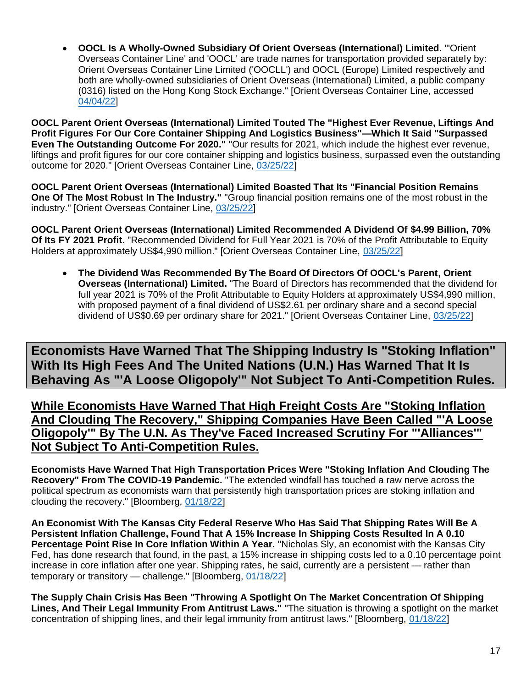• **OOCL Is A Wholly-Owned Subsidiary Of Orient Overseas (International) Limited.** "'Orient Overseas Container Line' and 'OOCL' are trade names for transportation provided separately by: Orient Overseas Container Line Limited ('OOCLL') and OOCL (Europe) Limited respectively and both are wholly-owned subsidiaries of Orient Overseas (International) Limited, a public company (0316) listed on the Hong Kong Stock Exchange." [Orient Overseas Container Line, accessed [04/04/22\]](https://www.oocl.com/eng/aboutoocl/companyprofile/oocltoday/Pages/default.aspx)

**OOCL Parent Orient Overseas (International) Limited Touted The "Highest Ever Revenue, Liftings And Profit Figures For Our Core Container Shipping And Logistics Business"—Which It Said "Surpassed Even The Outstanding Outcome For 2020."** "Our results for 2021, which include the highest ever revenue, liftings and profit figures for our core container shipping and logistics business, surpassed even the outstanding outcome for 2020." [Orient Overseas Container Line, [03/25/22\]](https://www.oocl.com/eng/pressandmedia/pressreleases/2022/Pages/25Mar2022.aspx)

**OOCL Parent Orient Overseas (International) Limited Boasted That Its "Financial Position Remains One Of The Most Robust In The Industry."** "Group financial position remains one of the most robust in the industry." [Orient Overseas Container Line, [03/25/22\]](https://www.oocl.com/eng/pressandmedia/pressreleases/2022/Pages/25Mar2022.aspx)

**OOCL Parent Orient Overseas (International) Limited Recommended A Dividend Of \$4.99 Billion, 70% Of Its FY 2021 Profit.** "Recommended Dividend for Full Year 2021 is 70% of the Profit Attributable to Equity Holders at approximately US\$4,990 million." [Orient Overseas Container Line, [03/25/22\]](https://www.oocl.com/eng/pressandmedia/pressreleases/2022/Pages/25Mar2022.aspx)

• **The Dividend Was Recommended By The Board Of Directors Of OOCL's Parent, Orient Overseas (International) Limited.** "The Board of Directors has recommended that the dividend for full year 2021 is 70% of the Profit Attributable to Equity Holders at approximately US\$4,990 million, with proposed payment of a final dividend of US\$2.61 per ordinary share and a second special dividend of US\$0.69 per ordinary share for 2021." [Orient Overseas Container Line, [03/25/22\]](https://www.oocl.com/eng/pressandmedia/pressreleases/2022/Pages/25Mar2022.aspx)

**Economists Have Warned That The Shipping Industry Is "Stoking Inflation" With Its High Fees And The United Nations (U.N.) Has Warned That It Is Behaving As "'A Loose Oligopoly'" Not Subject To Anti-Competition Rules.**

**While Economists Have Warned That High Freight Costs Are "Stoking Inflation And Clouding The Recovery," Shipping Companies Have Been Called "'A Loose Oligopoly'" By The U.N. As They've Faced Increased Scrutiny For "'Alliances'" Not Subject To Anti-Competition Rules.** 

**Economists Have Warned That High Transportation Prices Were "Stoking Inflation And Clouding The Recovery" From The COVID-19 Pandemic.** "The extended windfall has touched a raw nerve across the political spectrum as economists warn that persistently high transportation prices are stoking inflation and clouding the recovery." [Bloomberg, [01/18/22\]](https://www.bloomberg.com/news/features/2022-01-18/supply-chain-crisis-helped-shipping-companies-reap-150-billion-in-2021?sref=F7j0rXiB)

**An Economist With The Kansas City Federal Reserve Who Has Said That Shipping Rates Will Be A Persistent Inflation Challenge, Found That A 15% Increase In Shipping Costs Resulted In A 0.10 Percentage Point Rise In Core Inflation Within A Year.** "Nicholas Sly, an economist with the Kansas City Fed, has done research that found, in the past, a 15% increase in shipping costs led to a 0.10 percentage point increase in core inflation after one year. Shipping rates, he said, currently are a persistent — rather than temporary or transitory — challenge." [Bloomberg, [01/18/22\]](https://www.bloomberg.com/news/features/2022-01-18/supply-chain-crisis-helped-shipping-companies-reap-150-billion-in-2021?sref=F7j0rXiB)

**The Supply Chain Crisis Has Been "Throwing A Spotlight On The Market Concentration Of Shipping Lines, And Their Legal Immunity From Antitrust Laws."** "The situation is throwing a spotlight on the market concentration of shipping lines, and their legal immunity from antitrust laws." [Bloomberg, [01/18/22\]](https://www.bloomberg.com/news/features/2022-01-18/supply-chain-crisis-helped-shipping-companies-reap-150-billion-in-2021?sref=F7j0rXiB)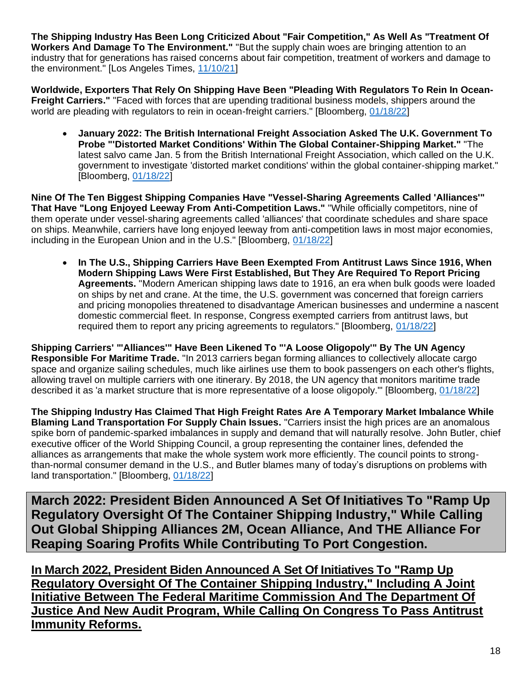**The Shipping Industry Has Been Long Criticized About "Fair Competition," As Well As "Treatment Of Workers And Damage To The Environment."** "But the supply chain woes are bringing attention to an industry that for generations has raised concerns about fair competition, treatment of workers and damage to the environment." [Los Angeles Times, [11/10/21\]](https://www.latimes.com/world-nation/story/2021-11-10/china-global-shipping-supply-chain-crisis)

**Worldwide, Exporters That Rely On Shipping Have Been "Pleading With Regulators To Rein In Ocean-Freight Carriers."** "Faced with forces that are upending traditional business models, shippers around the world are pleading with regulators to rein in ocean-freight carriers." [Bloomberg, [01/18/22\]](https://www.bloomberg.com/news/features/2022-01-18/supply-chain-crisis-helped-shipping-companies-reap-150-billion-in-2021?sref=F7j0rXiB)

• **January 2022: The British International Freight Association Asked The U.K. Government To Probe "'Distorted Market Conditions' Within The Global Container-Shipping Market."** "The latest salvo came Jan. 5 from the British International Freight Association, which called on the U.K. government to investigate 'distorted market conditions' within the global container-shipping market." [Bloomberg, [01/18/22\]](https://www.bloomberg.com/news/features/2022-01-18/supply-chain-crisis-helped-shipping-companies-reap-150-billion-in-2021?sref=F7j0rXiB)

**Nine Of The Ten Biggest Shipping Companies Have "Vessel-Sharing Agreements Called 'Alliances'" That Have "Long Enjoyed Leeway From Anti-Competition Laws."** "While officially competitors, nine of them operate under vessel-sharing agreements called 'alliances' that coordinate schedules and share space on ships. Meanwhile, carriers have long enjoyed leeway from anti-competition laws in most major economies, including in the European Union and in the U.S." [Bloomberg, [01/18/22\]](https://www.bloomberg.com/news/features/2022-01-18/supply-chain-crisis-helped-shipping-companies-reap-150-billion-in-2021?sref=F7j0rXiB)

• **In The U.S., Shipping Carriers Have Been Exempted From Antitrust Laws Since 1916, When Modern Shipping Laws Were First Established, But They Are Required To Report Pricing Agreements.** "Modern American shipping laws date to 1916, an era when bulk goods were loaded on ships by net and crane. At the time, the U.S. government was concerned that foreign carriers and pricing monopolies threatened to disadvantage American businesses and undermine a nascent domestic commercial fleet. In response, Congress exempted carriers from antitrust laws, but required them to report any pricing agreements to regulators." [Bloomberg, [01/18/22\]](https://www.bloomberg.com/news/features/2022-01-18/supply-chain-crisis-helped-shipping-companies-reap-150-billion-in-2021?sref=F7j0rXiB)

**Shipping Carriers' "'Alliances'" Have Been Likened To "'A Loose Oligopoly'" By The UN Agency Responsible For Maritime Trade.** "In 2013 carriers began forming alliances to collectively allocate cargo space and organize sailing schedules, much like airlines use them to book passengers on each other's flights, allowing travel on multiple carriers with one itinerary. By 2018, the UN agency that monitors maritime trade described it as 'a market structure that is more representative of a loose oligopoly.'" [Bloomberg, [01/18/22\]](https://www.bloomberg.com/news/features/2022-01-18/supply-chain-crisis-helped-shipping-companies-reap-150-billion-in-2021?sref=F7j0rXiB)

**The Shipping Industry Has Claimed That High Freight Rates Are A Temporary Market Imbalance While Blaming Land Transportation For Supply Chain Issues.** "Carriers insist the high prices are an anomalous spike born of pandemic-sparked imbalances in supply and demand that will naturally resolve. John Butler, chief executive officer of the World Shipping Council, a group representing the container lines, defended the alliances as arrangements that make the whole system work more efficiently. The council points to strongthan-normal consumer demand in the U.S., and Butler blames many of today's disruptions on problems with land transportation." [Bloomberg, [01/18/22\]](https://www.bloomberg.com/news/features/2022-01-18/supply-chain-crisis-helped-shipping-companies-reap-150-billion-in-2021?sref=F7j0rXiB)

**March 2022: President Biden Announced A Set Of Initiatives To "Ramp Up Regulatory Oversight Of The Container Shipping Industry," While Calling Out Global Shipping Alliances 2M, Ocean Alliance, And THE Alliance For Reaping Soaring Profits While Contributing To Port Congestion.** 

**In March 2022, President Biden Announced A Set Of Initiatives To "Ramp Up Regulatory Oversight Of The Container Shipping Industry," Including A Joint Initiative Between The Federal Maritime Commission And The Department Of Justice And New Audit Program, While Calling On Congress To Pass Antitrust Immunity Reforms.**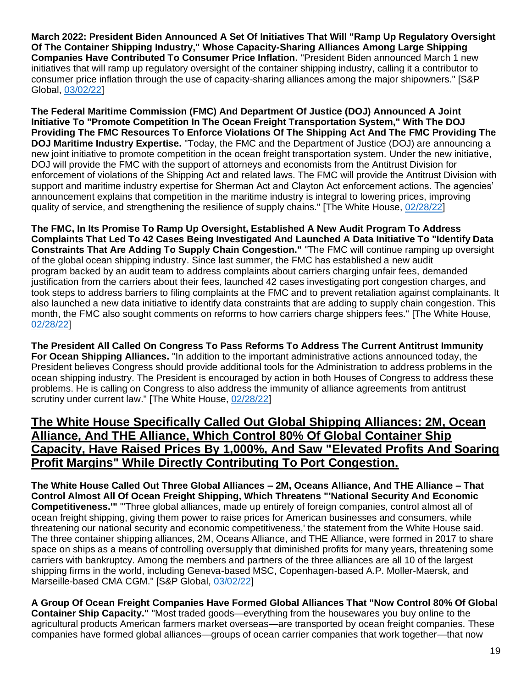**March 2022: President Biden Announced A Set Of Initiatives That Will "Ramp Up Regulatory Oversight Of The Container Shipping Industry," Whose Capacity-Sharing Alliances Among Large Shipping Companies Have Contributed To Consumer Price Inflation.** "President Biden announced March 1 new initiatives that will ramp up regulatory oversight of the container shipping industry, calling it a contributor to consumer price inflation through the use of capacity-sharing alliances among the major shipowners." [S&P Global, [03/02/22\]](https://www.spglobal.com/commodity-insights/en/market-insights/latest-news/shipping/030222-president-biden-targets-container-shipping-alliances-in-state-of-the-union-address#:~:text=President%20Biden%20announced%20March%201,alliances%20among%20the%20major%20shipowners.)

**The Federal Maritime Commission (FMC) And Department Of Justice (DOJ) Announced A Joint Initiative To "Promote Competition In The Ocean Freight Transportation System," With The DOJ Providing The FMC Resources To Enforce Violations Of The Shipping Act And The FMC Providing The DOJ Maritime Industry Expertise.** "Today, the FMC and the Department of Justice (DOJ) are [announcing](https://www.justice.gov/opa/pr/justice-department-and-federal-maritime-commission-reaffirm-and-strengthen-partnership) a new joint initiative to promote competition in the ocean freight transportation system. Under the new initiative, DOJ will provide the FMC with the support of attorneys and economists from the Antitrust Division for enforcement of violations of the Shipping Act and related laws. The FMC will provide the Antitrust Division with support and maritime industry expertise for Sherman Act and Clayton Act enforcement actions. The agencies' announcement explains that competition in the maritime industry is integral to lowering prices, improving quality of service, and strengthening the resilience of supply chains." [The White House, [02/28/22\]](https://www.whitehouse.gov/briefing-room/statements-releases/2022/02/28/fact-sheet-lowering-prices-and-leveling-the-playing-field-in-ocean-shipping/)

**The FMC, In Its Promise To Ramp Up Oversight, Established A New Audit Program To Address Complaints That Led To 42 Cases Being Investigated And Launched A Data Initiative To "Identify Data Constraints That Are Adding To Supply Chain Congestion."** "The FMC will continue ramping up oversight of the global ocean shipping industry. Since last summer, the FMC has established a new audit program backed by an audit team to address complaints about carriers charging unfair fees, demanded justification from the carriers about their fees, launched 42 cases investigating port congestion charges, and took steps to address barriers to filing complaints at the FMC and to prevent retaliation against complainants. It also launched a new data initiative to identify data constraints that are adding to supply chain congestion. This month, the FMC also sought comments on reforms to how carriers charge shippers fees." [The White House, [02/28/22\]](https://www.whitehouse.gov/briefing-room/statements-releases/2022/02/28/fact-sheet-lowering-prices-and-leveling-the-playing-field-in-ocean-shipping/)

**The President All Called On Congress To Pass Reforms To Address The Current Antitrust Immunity For Ocean Shipping Alliances.** "In addition to the important administrative actions announced today, the President believes Congress should provide additional tools for the Administration to address problems in the ocean shipping industry. The President is encouraged by action in both Houses of Congress to address these problems. He is calling on Congress to also address the immunity of alliance agreements from antitrust scrutiny under current law." [The White House, [02/28/22\]](https://www.whitehouse.gov/briefing-room/statements-releases/2022/02/28/fact-sheet-lowering-prices-and-leveling-the-playing-field-in-ocean-shipping/)

### **The White House Specifically Called Out Global Shipping Alliances: 2M, Ocean Alliance, And THE Alliance, Which Control 80% Of Global Container Ship Capacity, Have Raised Prices By 1,000%, And Saw "Elevated Profits And Soaring Profit Margins" While Directly Contributing To Port Congestion.**

**The White House Called Out Three Global Alliances – 2M, Oceans Alliance, And THE Alliance – That Control Almost All Of Ocean Freight Shipping, Which Threatens "'National Security And Economic Competitiveness.'"** "'Three global alliances, made up entirely of foreign companies, control almost all of ocean freight shipping, giving them power to raise prices for American businesses and consumers, while threatening our national security and economic competitiveness,' the statement from the White House said. The three container shipping alliances, 2M, Oceans Alliance, and THE Alliance, were formed in 2017 to share space on ships as a means of controlling oversupply that diminished profits for many years, threatening some carriers with bankruptcy. Among the members and partners of the three alliances are all 10 of the largest shipping firms in the world, including Geneva-based MSC, Copenhagen-based A.P. Moller-Maersk, and Marseille-based CMA CGM." [S&P Global, [03/02/22\]](https://www.spglobal.com/commodity-insights/en/market-insights/latest-news/shipping/030222-president-biden-targets-container-shipping-alliances-in-state-of-the-union-address#:~:text=President%20Biden%20announced%20March%201,alliances%20among%20the%20major%20shipowners.)

**A Group Of Ocean Freight Companies Have Formed Global Alliances That "Now Control 80% Of Global Container Ship Capacity."** "Most traded goods—everything from the housewares you buy online to the agricultural products American farmers market overseas—are transported by ocean freight companies. These companies have formed global alliances—groups of ocean carrier companies that work together—that now